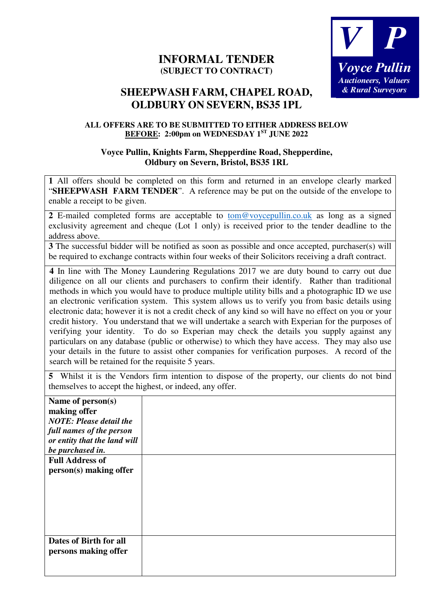## **INFORMAL TENDER (SUBJECT TO CONTRACT)**



## **SHEEPWASH FARM, CHAPEL ROAD, OLDBURY ON SEVERN, BS35 1PL**

## **ALL OFFERS ARE TO BE SUBMITTED TO EITHER ADDRESS BELOW BEFORE: 2:00pm on WEDNESDAY 1ST JUNE 2022**

## **Voyce Pullin, Knights Farm, Shepperdine Road, Shepperdine, Oldbury on Severn, Bristol, BS35 1RL**

**1** All offers should be completed on this form and returned in an envelope clearly marked "**SHEEPWASH FARM TENDER**". A reference may be put on the outside of the envelope to enable a receipt to be given.

**2** E-mailed completed forms are acceptable to tom@voycepullin.co.uk as long as a signed exclusivity agreement and cheque (Lot 1 only) is received prior to the tender deadline to the address above.

**3** The successful bidder will be notified as soon as possible and once accepted, purchaser(s) will be required to exchange contracts within four weeks of their Solicitors receiving a draft contract.

**4** In line with The Money Laundering Regulations 2017 we are duty bound to carry out due diligence on all our clients and purchasers to confirm their identify. Rather than traditional methods in which you would have to produce multiple utility bills and a photographic ID we use an electronic verification system. This system allows us to verify you from basic details using electronic data; however it is not a credit check of any kind so will have no effect on you or your credit history. You understand that we will undertake a search with Experian for the purposes of verifying your identity. To do so Experian may check the details you supply against any particulars on any database (public or otherwise) to which they have access. They may also use your details in the future to assist other companies for verification purposes. A record of the search will be retained for the requisite 5 years.

**5** Whilst it is the Vendors firm intention to dispose of the property, our clients do not bind themselves to accept the highest, or indeed, any offer.

| Name of person(s)<br>making offer<br><b>NOTE: Please detail the</b> |  |
|---------------------------------------------------------------------|--|
| full names of the person<br>or entity that the land will            |  |
| be purchased in.                                                    |  |
| <b>Full Address of</b><br>person(s) making offer                    |  |
|                                                                     |  |
| Dates of Birth for all<br>persons making offer                      |  |